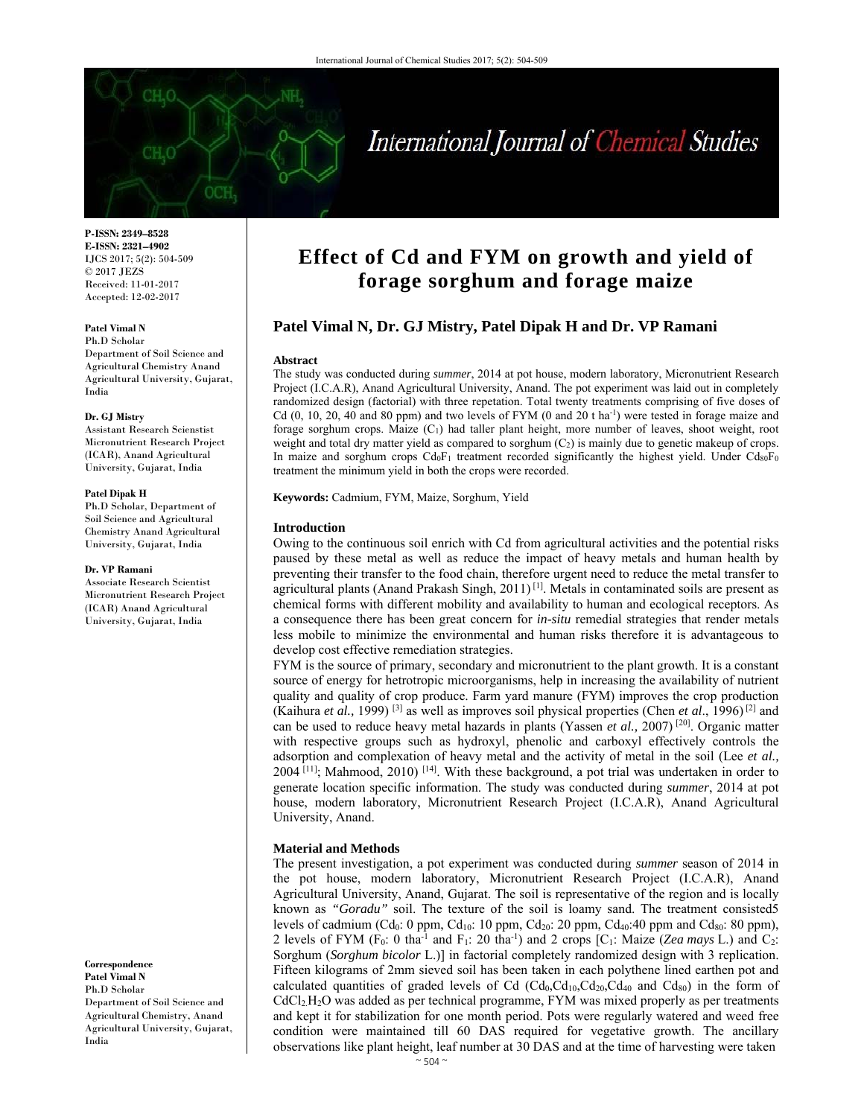

# International Journal of Chemical Studies

**P-ISSN: 2349–8528 E-ISSN: 2321–4902**  IJCS 2017; 5(2): 504-509 © 2017 JEZS Received: 11-01-2017 Accepted: 12-02-2017

# **Patel Vimal N**

Ph.D Scholar Department of Soil Science and Agricultural Chemistry Anand Agricultural University, Gujarat, India

#### **Dr. GJ Mistry**

Assistant Research Scienstist Micronutrient Research Project (ICAR), Anand Agricultural University, Gujarat, India

#### **Patel Dipak H**

Ph.D Scholar, Department of Soil Science and Agricultural Chemistry Anand Agricultural University, Gujarat, India

#### **Dr. VP Ramani**

Associate Research Scientist Micronutrient Research Project (ICAR) Anand Agricultural University, Gujarat, India

**Correspondence Patel Vimal N**  Ph.D Scholar Department of Soil Science and Agricultural Chemistry, Anand Agricultural University, Gujarat, India

# **Effect of Cd and FYM on growth and yield of forage sorghum and forage maize**

# **Patel Vimal N, Dr. GJ Mistry, Patel Dipak H and Dr. VP Ramani**

#### **Abstract**

The study was conducted during *summer*, 2014 at pot house, modern laboratory, Micronutrient Research Project (I.C.A.R), Anand Agricultural University, Anand. The pot experiment was laid out in completely randomized design (factorial) with three repetation. Total twenty treatments comprising of five doses of Cd  $(0, 10, 20, 40,$  and  $80$  ppm) and two levels of FYM  $(0 \text{ and } 20 \text{ t} \text{ ha}^{-1})$  were tested in forage maize and forage sorghum crops. Maize (C1) had taller plant height, more number of leaves, shoot weight, root weight and total dry matter yield as compared to sorghum  $(C_2)$  is mainly due to genetic makeup of crops. In maize and sorghum crops  $Cd_0F_1$  treatment recorded significantly the highest yield. Under  $Cd_80F_0$ treatment the minimum yield in both the crops were recorded.

**Keywords:** Cadmium, FYM, Maize, Sorghum, Yield

#### **Introduction**

Owing to the continuous soil enrich with Cd from agricultural activities and the potential risks paused by these metal as well as reduce the impact of heavy metals and human health by preventing their transfer to the food chain, therefore urgent need to reduce the metal transfer to agricultural plants (Anand Prakash Singh, 2011)<sup>[1]</sup>. Metals in contaminated soils are present as chemical forms with different mobility and availability to human and ecological receptors. As a consequence there has been great concern for *in-situ* remedial strategies that render metals less mobile to minimize the environmental and human risks therefore it is advantageous to develop cost effective remediation strategies.

FYM is the source of primary, secondary and micronutrient to the plant growth. It is a constant source of energy for hetrotropic microorganisms, help in increasing the availability of nutrient quality and quality of crop produce. Farm yard manure (FYM) improves the crop production (Kaihura *et al.,* 1999) [3] as well as improves soil physical properties (Chen *et al*., 1996) [2] and can be used to reduce heavy metal hazards in plants (Yassen *et al.,* 2007) [20]. Organic matter with respective groups such as hydroxyl, phenolic and carboxyl effectively controls the adsorption and complexation of heavy metal and the activity of metal in the soil (Lee *et al.,*   $2004$ <sup>[11]</sup>; Mahmood,  $2010$ <sup>[14]</sup>. With these background, a pot trial was undertaken in order to generate location specific information. The study was conducted during *summer*, 2014 at pot house, modern laboratory, Micronutrient Research Project (I.C.A.R), Anand Agricultural University, Anand.

# **Material and Methods**

The present investigation, a pot experiment was conducted during *summer* season of 2014 in the pot house, modern laboratory, Micronutrient Research Project (I.C.A.R), Anand Agricultural University, Anand, Gujarat. The soil is representative of the region and is locally known as *"Goradu"* soil. The texture of the soil is loamy sand. The treatment consisted5 levels of cadmium (Cd<sub>0</sub>: 0 ppm, Cd<sub>10</sub>: 10 ppm, Cd<sub>20</sub>: 20 ppm, Cd<sub>40</sub>: 40 ppm and Cd<sub>80</sub>: 80 ppm), 2 levels of FYM (F<sub>0</sub>: 0 tha<sup>-1</sup> and F<sub>1</sub>: 20 tha<sup>-1</sup>) and 2 crops [C<sub>1</sub>: Maize (*Zea mays L*.) and C<sub>2</sub>: Sorghum (*Sorghum bicolor* L.)] in factorial completely randomized design with 3 replication. Fifteen kilograms of 2mm sieved soil has been taken in each polythene lined earthen pot and calculated quantities of graded levels of Cd  $(Cd_0, Cd_{10}, Cd_{20},Cd_{40}$  and  $Cd_{80})$  in the form of  $CdCl<sub>2</sub>H<sub>2</sub>O$  was added as per technical programme, FYM was mixed properly as per treatments and kept it for stabilization for one month period. Pots were regularly watered and weed free condition were maintained till 60 DAS required for vegetative growth. The ancillary observations like plant height, leaf number at 30 DAS and at the time of harvesting were taken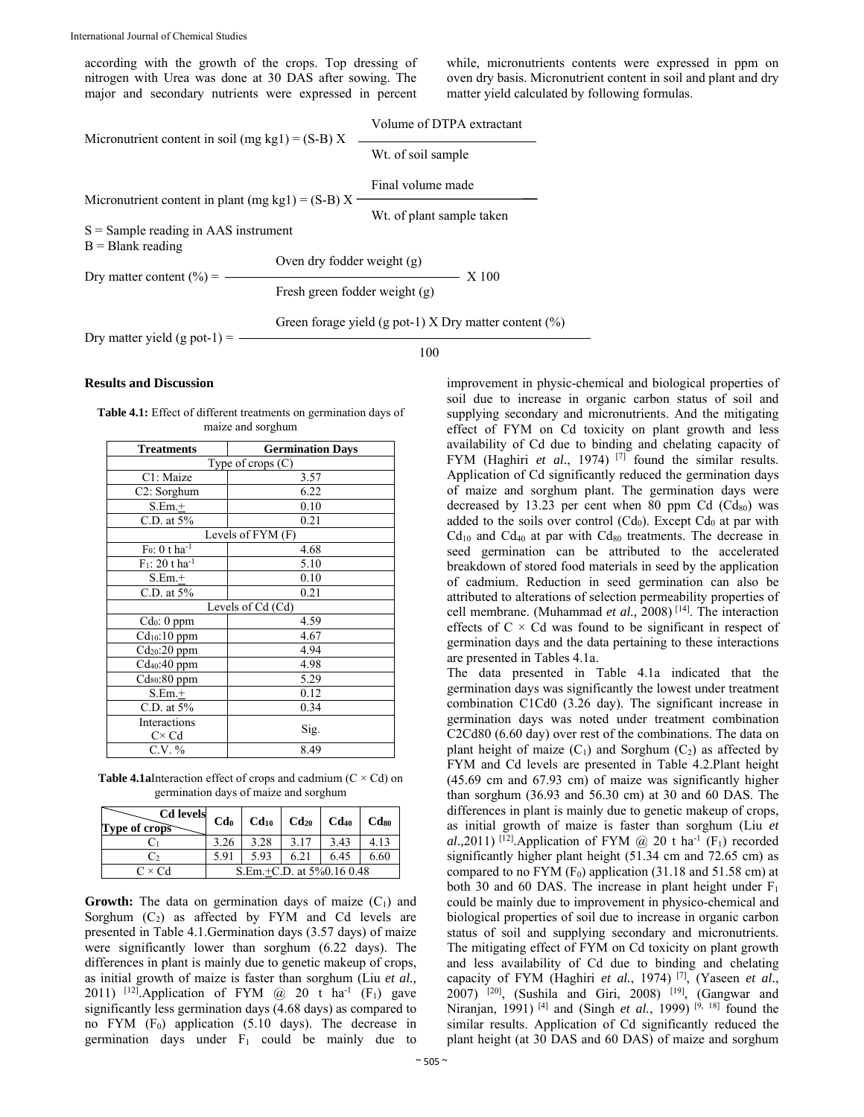according with the growth of the crops. Top dressing of nitrogen with Urea was done at 30 DAS after sowing. The major and secondary nutrients were expressed in percent while, micronutrients contents were expressed in ppm on oven dry basis. Micronutrient content in soil and plant and dry matter yield calculated by following formulas.

| Micronutrient content in soil (mg kg1) = $(S-B) X$  |                               | Volume of DTPA extractant |                                                          |
|-----------------------------------------------------|-------------------------------|---------------------------|----------------------------------------------------------|
|                                                     |                               | Wt. of soil sample        |                                                          |
|                                                     |                               | Final volume made         |                                                          |
| Micronutrient content in plant (mg kg1) = $(S-B) X$ |                               | Wt. of plant sample taken |                                                          |
| $S =$ Sample reading in AAS instrument              |                               |                           |                                                          |
| $B =$ Blank reading                                 |                               |                           |                                                          |
|                                                     | Oven dry fodder weight (g)    |                           |                                                          |
| Dry matter content $(\% )$ =                        | Fresh green fodder weight (g) |                           | X 100                                                    |
| Dry matter yield $(g$ pot-1) =                      |                               |                           | Green forage yield (g pot-1) X Dry matter content $(\%)$ |
|                                                     |                               | 100                       |                                                          |

#### **Results and Discussion**

| <b>Germination Days</b><br><b>Treatments</b>                            |  |  |  |  |
|-------------------------------------------------------------------------|--|--|--|--|
| maize and sorghum                                                       |  |  |  |  |
| <b>Table 4.1:</b> Effect of different treatments on germination days of |  |  |  |  |

| Type of crops (C)             |                   |  |  |
|-------------------------------|-------------------|--|--|
| C1: Maize                     | 3.57              |  |  |
| C2: Sorghum                   | 6.22              |  |  |
| $S.Em.+$                      | 0.10              |  |  |
| C.D. at 5%                    | 0.21              |  |  |
|                               | Levels of FYM (F) |  |  |
| $F_0$ : 0 t ha <sup>-1</sup>  | 4.68              |  |  |
| $F_1$ : 20 t ha <sup>-1</sup> | 5.10              |  |  |
| $S.Em.+$                      | 0.10              |  |  |
| C.D. at $5%$                  | 0.21              |  |  |
| Levels of Cd (Cd)             |                   |  |  |
| Cd <sub>0</sub> : 0 ppm       | 4.59              |  |  |
| $Cd10:10$ ppm                 | 4.67              |  |  |
| $Cd20:20$ ppm                 | 4.94              |  |  |
| $Cd40:40$ ppm                 | 4.98              |  |  |
| $Cd_{80}$ :80 ppm             | 5.29              |  |  |
| $S.Em.+$                      | 0.12              |  |  |
| C.D. at 5%                    | 0.34              |  |  |
| Interactions                  |                   |  |  |
| $C \times Cd$                 | Sig.              |  |  |
| $C.V. \%$                     | 8.49              |  |  |
|                               |                   |  |  |

**Table 4.1aInteraction effect of crops and cadmium**  $(C \times Cd)$  **on** germination days of maize and sorghum

| $\begin{array}{c c c c}\n\hline\n\text{Calevels} & \text{Cd}_0 & \text{Cd}_{10} & \text{Cd}_{20} & \text{Cd}_{40} & \text{Cd}_{80}\n\end{array}$<br>Type of crops |                           |      |      |      |      |
|-------------------------------------------------------------------------------------------------------------------------------------------------------------------|---------------------------|------|------|------|------|
|                                                                                                                                                                   | 3.26                      | 3.28 | 3.17 | 3.43 | 4.13 |
|                                                                                                                                                                   | 5.91                      | 5.93 | 6.21 | 6.45 | 6.60 |
| $C \times Cd$                                                                                                                                                     | S.Em.+C.D. at 5%0.16 0.48 |      |      |      |      |

**Growth:** The data on germination days of maize  $(C_1)$  and Sorghum  $(C_2)$  as affected by FYM and Cd levels are presented in Table 4.1.Germination days (3.57 days) of maize were significantly lower than sorghum (6.22 days). The differences in plant is mainly due to genetic makeup of crops, as initial growth of maize is faster than sorghum (Liu *et al.,*  2011) <sup>[12]</sup>.Application of FYM  $\omega$  20 t ha<sup>-1</sup> (F<sub>1</sub>) gave significantly less germination days (4.68 days) as compared to no FYM  $(F_0)$  application (5.10 days). The decrease in germination days under  $F_1$  could be mainly due to

improvement in physic-chemical and biological properties of soil due to increase in organic carbon status of soil and supplying secondary and micronutrients. And the mitigating effect of FYM on Cd toxicity on plant growth and less availability of Cd due to binding and chelating capacity of FYM (Haghiri *et al.*, 1974)<sup>[7]</sup> found the similar results. Application of Cd significantly reduced the germination days of maize and sorghum plant. The germination days were decreased by 13.23 per cent when 80 ppm Cd  $(Cd_{80})$  was added to the soils over control  $(Cd_0)$ . Except  $Cd_0$  at par with  $Cd_{10}$  and  $Cd_{40}$  at par with  $Cd_{80}$  treatments. The decrease in seed germination can be attributed to the accelerated breakdown of stored food materials in seed by the application of cadmium. Reduction in seed germination can also be attributed to alterations of selection permeability properties of cell membrane. (Muhammad *et al.,* 2008) [14]. The interaction effects of  $C \times Cd$  was found to be significant in respect of germination days and the data pertaining to these interactions are presented in Tables 4.1a.

The data presented in Table 4.1a indicated that the germination days was significantly the lowest under treatment combination C1Cd0 (3.26 day). The significant increase in germination days was noted under treatment combination C2Cd80 (6.60 day) over rest of the combinations. The data on plant height of maize  $(C_1)$  and Sorghum  $(C_2)$  as affected by FYM and Cd levels are presented in Table 4.2.Plant height (45.69 cm and 67.93 cm) of maize was significantly higher than sorghum (36.93 and 56.30 cm) at 30 and 60 DAS. The differences in plant is mainly due to genetic makeup of crops, as initial growth of maize is faster than sorghum (Liu *et al.*,2011) <sup>[12]</sup>.Application of FYM  $\omega$  20 t ha<sup>-1</sup> (F<sub>1</sub>) recorded significantly higher plant height (51.34 cm and 72.65 cm) as compared to no FYM  $(F_0)$  application (31.18 and 51.58 cm) at both 30 and 60 DAS. The increase in plant height under  $F_1$ could be mainly due to improvement in physico-chemical and biological properties of soil due to increase in organic carbon status of soil and supplying secondary and micronutrients. The mitigating effect of FYM on Cd toxicity on plant growth and less availability of Cd due to binding and chelating capacity of FYM (Haghiri et al., 1974)<sup>[7]</sup>, (Yaseen et al., 2007)  $^{[20]}$ , (Sushila and Giri, 2008)  $^{[19]}$ , (Gangwar and Niranjan, 1991) <sup>[4]</sup> and (Singh *et al.*, 1999) <sup>[9, 18]</sup> found the similar results. Application of Cd significantly reduced the plant height (at 30 DAS and 60 DAS) of maize and sorghum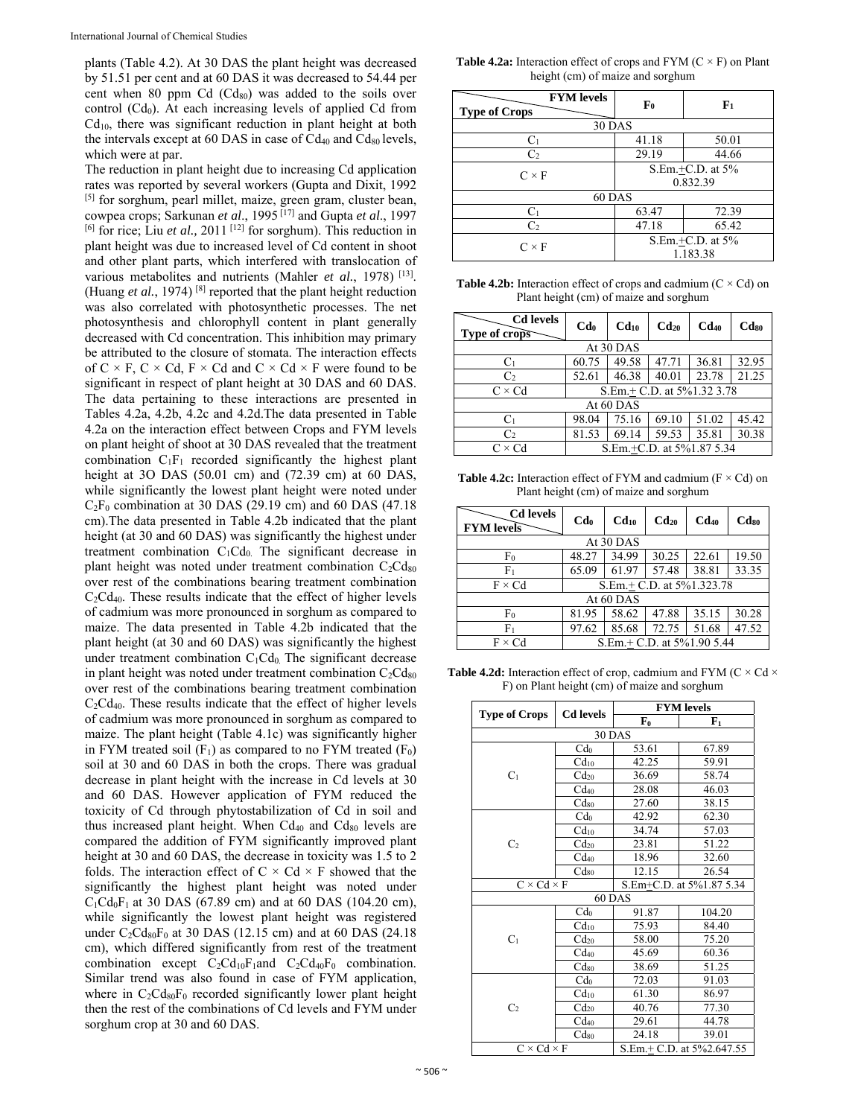plants (Table 4.2). At 30 DAS the plant height was decreased by 51.51 per cent and at 60 DAS it was decreased to 54.44 per cent when 80 ppm Cd (Cd<sub>80</sub>) was added to the soils over control  $(Cd_0)$ . At each increasing levels of applied Cd from Cd10, there was significant reduction in plant height at both the intervals except at 60 DAS in case of  $Cd_{40}$  and  $Cd_{80}$  levels, which were at par.

The reduction in plant height due to increasing Cd application rates was reported by several workers (Gupta and Dixit, 1992 [5] for sorghum, pearl millet, maize, green gram, cluster bean, cowpea crops; Sarkunan *et al*., 1995 [17] and Gupta *et al*., 1997 <sup>[6]</sup> for rice; Liu *et al.*, 2011<sup>[12]</sup> for sorghum). This reduction in plant height was due to increased level of Cd content in shoot and other plant parts, which interfered with translocation of various metabolites and nutrients (Mahler *et al.*, 1978)<sup>[13]</sup>. (Huang *et al.*, 1974) [8] reported that the plant height reduction was also correlated with photosynthetic processes. The net photosynthesis and chlorophyll content in plant generally decreased with Cd concentration. This inhibition may primary be attributed to the closure of stomata. The interaction effects of  $C \times F$ ,  $C \times Cd$ ,  $F \times Cd$  and  $C \times Cd \times F$  were found to be significant in respect of plant height at 30 DAS and 60 DAS. The data pertaining to these interactions are presented in Tables 4.2a, 4.2b, 4.2c and 4.2d.The data presented in Table 4.2a on the interaction effect between Crops and FYM levels on plant height of shoot at 30 DAS revealed that the treatment combination  $C_1F_1$  recorded significantly the highest plant height at 3O DAS (50.01 cm) and (72.39 cm) at 60 DAS, while significantly the lowest plant height were noted under  $C_2F_0$  combination at 30 DAS (29.19 cm) and 60 DAS (47.18 cm).The data presented in Table 4.2b indicated that the plant height (at 30 and 60 DAS) was significantly the highest under treatment combination  $C_1Cd_0$ . The significant decrease in plant height was noted under treatment combination  $C_2Cd_{80}$ over rest of the combinations bearing treatment combination C2Cd40. These results indicate that the effect of higher levels of cadmium was more pronounced in sorghum as compared to maize. The data presented in Table 4.2b indicated that the plant height (at 30 and 60 DAS) was significantly the highest under treatment combination  $C_1Cd_0$ . The significant decrease in plant height was noted under treatment combination  $C_2Cd_{80}$ over rest of the combinations bearing treatment combination C2Cd40. These results indicate that the effect of higher levels of cadmium was more pronounced in sorghum as compared to maize. The plant height (Table 4.1c) was significantly higher in FYM treated soil  $(F_1)$  as compared to no FYM treated  $(F_0)$ soil at 30 and 60 DAS in both the crops. There was gradual decrease in plant height with the increase in Cd levels at 30 and 60 DAS. However application of FYM reduced the toxicity of Cd through phytostabilization of Cd in soil and thus increased plant height. When  $Cd_{40}$  and  $Cd_{80}$  levels are compared the addition of FYM significantly improved plant height at 30 and 60 DAS, the decrease in toxicity was 1.5 to 2 folds. The interaction effect of  $C \times Cd \times F$  showed that the significantly the highest plant height was noted under  $C_1Cd_0F_1$  at 30 DAS (67.89 cm) and at 60 DAS (104.20 cm), while significantly the lowest plant height was registered under  $C_2Cd_{80}F_0$  at 30 DAS (12.15 cm) and at 60 DAS (24.18 cm), which differed significantly from rest of the treatment combination except  $C_2Cd_{10}F_1$ and  $C_2Cd_{40}F_0$  combination. Similar trend was also found in case of FYM application, where in  $C_2Cd_{80}F_0$  recorded significantly lower plant height then the rest of the combinations of Cd levels and FYM under sorghum crop at 30 and 60 DAS.

**Table 4.2a:** Interaction effect of crops and  $FYM(C \times F)$  on Plant height (cm) of maize and sorghum

| <b>FYM</b> levels<br><b>Type of Crops</b> | F <sub>0</sub> | F <sub>1</sub>                    |  |
|-------------------------------------------|----------------|-----------------------------------|--|
| <b>30 DAS</b>                             |                |                                   |  |
| $C_1$                                     | 41.18          | 50.01                             |  |
| C <sub>2</sub>                            | 29.19          | 44.66                             |  |
| $C \times F$                              |                | S.Em.+C.D. at 5%<br>0.832.39      |  |
| 60 DAS                                    |                |                                   |  |
| C <sub>1</sub>                            | 63.47          | 72.39                             |  |
| C <sub>2</sub>                            | 47.18          | 65.42                             |  |
| $C \times F$                              |                | $S.Em.+C.D.$ at $5\%$<br>1.183.38 |  |

**Table 4.2b:** Interaction effect of crops and cadmium  $(C \times Cd)$  on Plant height (cm) of maize and sorghum

| <b>Cd</b> levels<br>Type of crops | C <b>d</b>                | $Cd_{10}$                  | $Cd_{20}$ | $Cd$ <sub>40</sub> | Cd <sub>so</sub> |
|-----------------------------------|---------------------------|----------------------------|-----------|--------------------|------------------|
|                                   |                           | At 30 DAS                  |           |                    |                  |
| C <sub>1</sub>                    | 60.75                     | 49.58                      | 47.71     | 36.81              | 32.95            |
| C <sub>2</sub>                    | 52.61                     | 46.38                      | 40.01     | 23.78              | 21.25            |
| $C \times Cd$                     |                           | S.Em.+ C.D. at 5%1.32 3.78 |           |                    |                  |
| At 60 DAS                         |                           |                            |           |                    |                  |
| C <sub>1</sub>                    | 98.04                     | 75.16                      | 69.10     | 51.02              | 45.42            |
| C <sub>2</sub>                    | 81.53                     | 69.14                      | 59.53     | 35.81              | 30.38            |
| $C \times Cd$                     | S.Em.+C.D. at 5%1.87 5.34 |                            |           |                    |                  |

**Table 4.2c:** Interaction effect of FYM and cadmium  $(F \times Cd)$  on Plant height (cm) of maize and sorghum

| <b>Cd</b> levels<br><b>FYM</b> levels | C <b>d</b>                 | Cd <sub>10</sub> | Cd <sub>20</sub> | $Cd_{40}$ | $Cd_{80}$ |
|---------------------------------------|----------------------------|------------------|------------------|-----------|-----------|
|                                       |                            | At 30 DAS        |                  |           |           |
| F <sub>0</sub>                        | 48.27                      | 34.99            | 30.25            | 22.61     | 19.50     |
| F۱                                    | 65.09                      | 61.97            | 57.48            | 38.81     | 33.35     |
| $F \times Cd$                         | S.Em.+ C.D. at 5%1.323.78  |                  |                  |           |           |
|                                       | At 60 DAS                  |                  |                  |           |           |
| F <sub>0</sub>                        | 81.95                      | 58.62            | 47.88            | 35.15     | 30.28     |
| F۱                                    | 97.62                      | 85.68            | 72.75            | 51.68     | 47.52     |
| $F \times Cd$                         | S.Em.+ C.D. at 5%1.90 5.44 |                  |                  |           |           |

**Table 4.2d:** Interaction effect of crop, cadmium and FYM ( $C \times Cd \times$ F) on Plant height (cm) of maize and sorghum

|                        |                  | <b>FYM</b> levels        |                           |  |
|------------------------|------------------|--------------------------|---------------------------|--|
| <b>Type of Crops</b>   | <b>Cd</b> levels | $F_0$                    | $F_1$                     |  |
|                        |                  | <b>30 DAS</b>            |                           |  |
|                        | Cd <sub>0</sub>  | 53.61                    | 67.89                     |  |
|                        | Cd <sub>10</sub> | 42.25                    | 59.91                     |  |
| C <sub>1</sub>         | Cd <sub>20</sub> | 36.69                    | 58.74                     |  |
|                        | $Cd_{40}$        | 28.08                    | 46.03                     |  |
|                        | $Cd_{80}$        | 27.60                    | 38.15                     |  |
|                        | Cd <sub>0</sub>  | 42.92                    | 62.30                     |  |
|                        | Cd <sub>10</sub> | 34.74                    | 57.03                     |  |
| C <sub>2</sub>         | Cd <sub>20</sub> | 23.81                    | 51.22                     |  |
|                        | Cd <sub>40</sub> | 18.96                    | 32.60                     |  |
|                        | $Cd_{80}$        | 12.15                    | 26.54                     |  |
| $C \times Cd \times F$ |                  | S.Em+C.D. at 5%1.87 5.34 |                           |  |
| 60 DAS                 |                  |                          |                           |  |
|                        | Cd <sub>0</sub>  | 91.87                    | 104.20                    |  |
|                        | Cd <sub>10</sub> | 75.93                    | 84.40                     |  |
| $C_1$                  | Cd <sub>20</sub> | 58.00                    | 75.20                     |  |
|                        | $Cd_{40}$        | 45.69                    | 60.36                     |  |
|                        | $Cd_{80}$        | 38.69                    | 51.25                     |  |
|                        | Cd <sub>0</sub>  | 72.03                    | 91.03                     |  |
|                        | Cd <sub>10</sub> | 61.30                    | 86.97                     |  |
| C <sub>2</sub>         | Cd <sub>20</sub> | 40.76                    | 77.30                     |  |
|                        | $Cd_{40}$        | 29.61                    | 44.78                     |  |
|                        | $Cd_{80}$        | 24.18                    | 39.01                     |  |
| $C \times Cd \times F$ |                  |                          | S.Em.+ C.D. at 5%2.647.55 |  |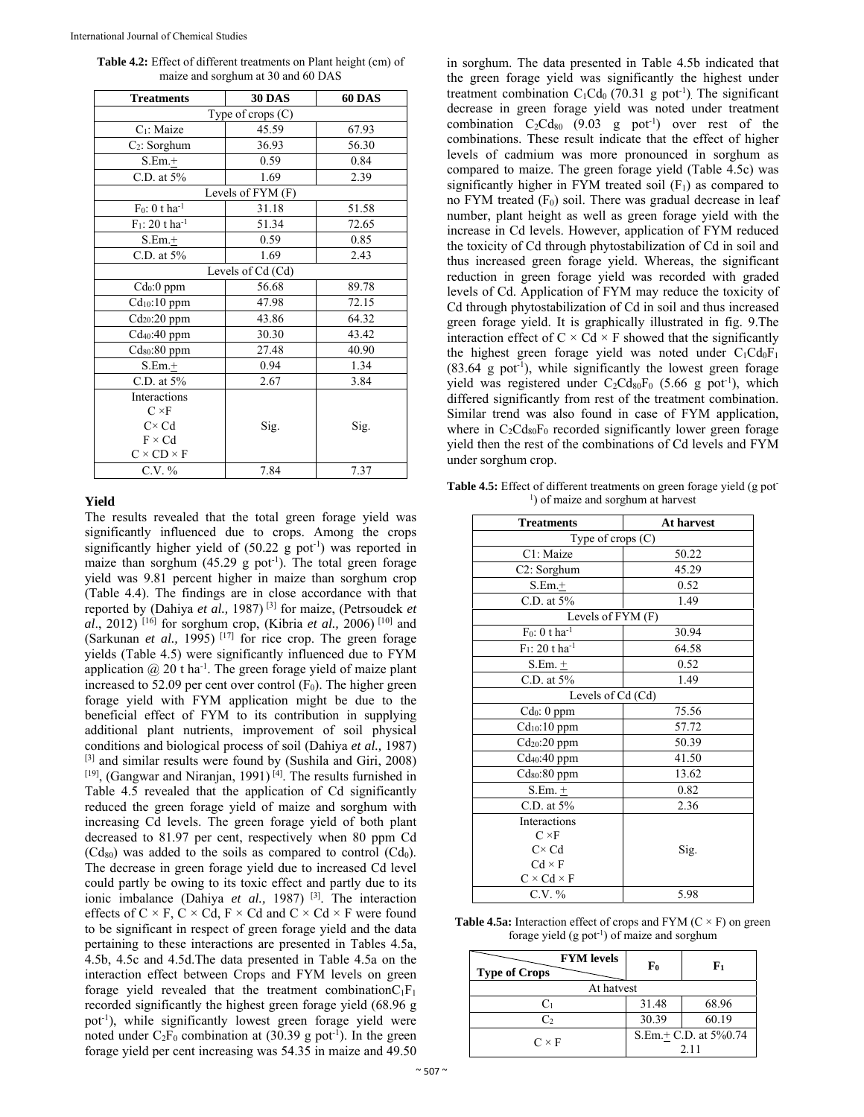| <b>Table 4.2:</b> Effect of different treatments on Plant height (cm) of |
|--------------------------------------------------------------------------|
| maize and sorghum at 30 and 60 DAS                                       |

| <b>Treatments</b>             | <b>30 DAS</b>     | 60 DAS |
|-------------------------------|-------------------|--------|
| Type of crops $(C)$           |                   |        |
| C <sub>1</sub> : Maize        | 45.59             | 67.93  |
| $C_2$ : Sorghum               | 36.93             | 56.30  |
| $S.Em.+$                      | 0.59              | 0.84   |
| C.D. at $5%$                  | 1.69              | 2.39   |
|                               | Levels of FYM (F) |        |
| $F_0$ : 0 t ha <sup>-1</sup>  | 31.18             | 51.58  |
| $F_1$ : 20 t ha <sup>-1</sup> | 51.34             | 72.65  |
| $S.Em.+$                      | 0.59              | 0.85   |
| C.D. at $5%$                  | 1.69              | 2.43   |
|                               | Levels of Cd (Cd) |        |
| $Cd0:0$ ppm                   | 56.68             | 89.78  |
| Cd <sub>10</sub> :10 ppm      | 47.98             | 72.15  |
| Cd <sub>20</sub> :20 ppm      | 43.86             | 64.32  |
| Cd <sub>40</sub> :40 ppm      | 30.30             | 43.42  |
| $Cd_{80}$ :80 ppm             | 27.48             | 40.90  |
| $S.Em.+$                      | 0.94              | 1.34   |
| C.D. at 5%                    | 2.67              | 3.84   |
| Interactions                  |                   |        |
| $C \times F$                  |                   |        |
| $C \times Cd$                 | Sig.              | Sig.   |
| $F \times Cd$                 |                   |        |
| $C \times CD \times F$        |                   |        |
| C.V. %                        | 7.84              | 7.37   |

#### **Yield**

The results revealed that the total green forage yield was significantly influenced due to crops. Among the crops significantly higher yield of  $(50.22 \text{ g pot}^{-1})$  was reported in maize than sorghum  $(45.29 \text{ g pot}^{-1})$ . The total green forage yield was 9.81 percent higher in maize than sorghum crop (Table 4.4). The findings are in close accordance with that reported by (Dahiya *et al.,* 1987) [3] for maize, (Petrsoudek *et al*., 2012) [16] for sorghum crop, (Kibria *et al.,* 2006) [10] and (Sarkunan *et al.,* 1995) [17] for rice crop. The green forage yields (Table 4.5) were significantly influenced due to FYM application  $\omega$  20 t ha<sup>-1</sup>. The green forage yield of maize plant increased to 52.09 per cent over control  $(F_0)$ . The higher green forage yield with FYM application might be due to the beneficial effect of FYM to its contribution in supplying additional plant nutrients, improvement of soil physical conditions and biological process of soil (Dahiya *et al.,* 1987) [3] and similar results were found by (Sushila and Giri, 2008)  $[19]$ , (Gangwar and Niranjan, 1991)<sup>[4]</sup>. The results furnished in Table 4.5 revealed that the application of Cd significantly reduced the green forage yield of maize and sorghum with increasing Cd levels. The green forage yield of both plant decreased to 81.97 per cent, respectively when 80 ppm Cd  $(Cd_{80})$  was added to the soils as compared to control  $(Cd_0)$ . The decrease in green forage yield due to increased Cd level could partly be owing to its toxic effect and partly due to its ionic imbalance (Dahiya *et al.,* 1987) [3]. The interaction effects of  $C \times F$ ,  $C \times Cd$ ,  $F \times Cd$  and  $C \times Cd \times F$  were found to be significant in respect of green forage yield and the data pertaining to these interactions are presented in Tables 4.5a, 4.5b, 4.5c and 4.5d.The data presented in Table 4.5a on the interaction effect between Crops and FYM levels on green forage yield revealed that the treatment combination $C_1F_1$ recorded significantly the highest green forage yield (68.96 g pot-1), while significantly lowest green forage yield were noted under  $C_2F_0$  combination at (30.39 g pot<sup>-1</sup>). In the green forage yield per cent increasing was 54.35 in maize and 49.50

in sorghum. The data presented in Table 4.5b indicated that the green forage yield was significantly the highest under treatment combination  $C_1Cd_0$  (70.31 g pot<sup>-1</sup>). The significant decrease in green forage yield was noted under treatment combination  $C_2Cd_{80}$  (9.03 g pot<sup>-1</sup>) over rest of the combinations. These result indicate that the effect of higher levels of cadmium was more pronounced in sorghum as compared to maize. The green forage yield (Table 4.5c) was significantly higher in FYM treated soil  $(F_1)$  as compared to no FYM treated  $(F_0)$  soil. There was gradual decrease in leaf number, plant height as well as green forage yield with the increase in Cd levels. However, application of FYM reduced the toxicity of Cd through phytostabilization of Cd in soil and thus increased green forage yield. Whereas, the significant reduction in green forage yield was recorded with graded levels of Cd. Application of FYM may reduce the toxicity of Cd through phytostabilization of Cd in soil and thus increased green forage yield. It is graphically illustrated in fig. 9.The interaction effect of  $C \times Cd \times F$  showed that the significantly the highest green forage yield was noted under  $C_1Cd_0F_1$  $(83.64 \text{ g }$  pot<sup>-1</sup>), while significantly the lowest green forage yield was registered under  $C_2Cd_{80}F_0$  (5.66 g pot<sup>-1</sup>), which differed significantly from rest of the treatment combination. Similar trend was also found in case of FYM application, where in  $C_2Cd_{80}F_0$  recorded significantly lower green forage yield then the rest of the combinations of Cd levels and FYM under sorghum crop.

Table 4.5: Effect of different treatments on green forage yield (g pot-<sup>1</sup>) of maize and sorghum at harvest

| <b>Treatments</b>             | <b>At harvest</b> |
|-------------------------------|-------------------|
| Type of crops (C)             |                   |
| C1: Maize                     | 50.22             |
| C2: Sorghum                   | 45.29             |
| $S.Em. +$                     | 0.52              |
| C.D. at $5%$                  | 1.49              |
| Levels of FYM (F)             |                   |
| $F_0$ : 0 t ha <sup>-1</sup>  | 30.94             |
| $F_1$ : 20 t ha <sup>-1</sup> | 64.58             |
| $S.Em. +$                     | 0.52              |
| C.D. at 5%                    | 1.49              |
| Levels of Cd (Cd)             |                   |
| Cd <sub>0</sub> : 0 ppm       | 75.56             |
| Cd <sub>10</sub> :10 ppm      | 57.72             |
| Cd <sub>20</sub> :20 ppm      | 50.39             |
| Cd <sub>40</sub> :40 ppm      | 41.50             |
| Cdso:80 ppm                   | 13.62             |
| $S.Em. +$                     | 0.82              |
| C.D. at 5%                    | 2.36              |
| Interactions                  |                   |
| $C \times F$                  |                   |
| $C \times Cd$                 | Sig.              |
| $Cd \times F$                 |                   |
| $C \times Cd \times F$        |                   |
| $C.V. \%$                     | 5.98              |

**Table 4.5a:** Interaction effect of crops and  $FYM$  ( $C \times F$ ) on green forage yield  $(g$  pot<sup>-1</sup>) of maize and sorghum

| <b>FYM</b> levels<br><b>Type of Crops</b> | F0    | F1                                        |
|-------------------------------------------|-------|-------------------------------------------|
| At hatvest                                |       |                                           |
|                                           | 31.48 | 68.96                                     |
| Cэ                                        | 30.39 | 60.19                                     |
| $C \times F$                              |       | S.Em. <sup>+</sup> C.D. at 5%0.74<br>2.11 |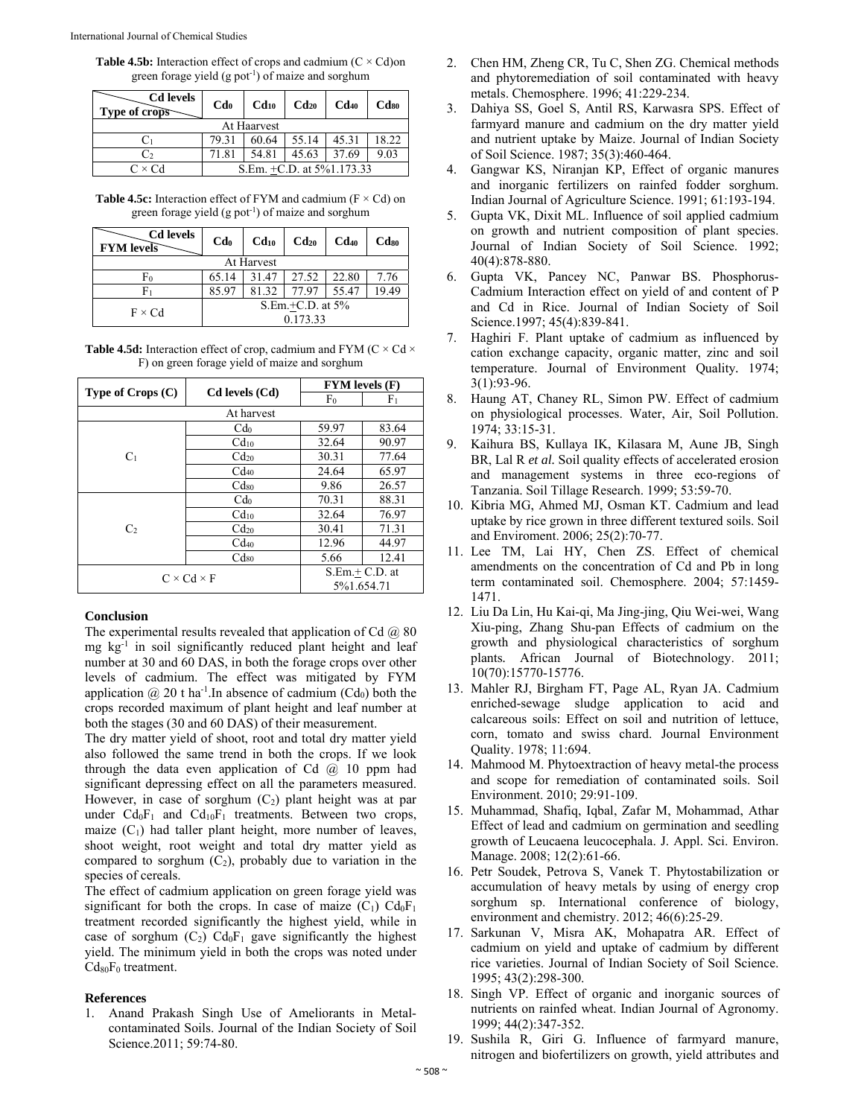**Table 4.5b:** Interaction effect of crops and cadmium  $(C \times Cd)$ on green forage yield  $(g$  pot<sup>-1</sup>) of maize and sorghum

| <b>Cd</b> levels<br>Type of crops | C <b>d</b> <sub>0</sub>        | $Cd_{10}$ | $Cd_{20}$ | $Cd_{40}$ | C <sub>ds0</sub> |  |
|-----------------------------------|--------------------------------|-----------|-----------|-----------|------------------|--|
| At Haarvest                       |                                |           |           |           |                  |  |
|                                   | 79.31                          | 60.64     | 55.14     | 45.31     | 18.22            |  |
| C2                                | 71.81                          | 54.81     | 45.63     | 37.69     | 9.03             |  |
| $C \times Cd$                     | S.Em. $+C.D.$ at $5\%1.173.33$ |           |           |           |                  |  |

**Table 4.5c:** Interaction effect of FYM and cadmium  $(F \times Cd)$  on green forage yield  $(g$  pot<sup>-1</sup>) of maize and sorghum

| <b>Cd</b> levels<br><b>FYM</b> levels | C <b>d</b> <sub>0</sub> | $Cd_{10}$ | $Cd_{20}$ | $Cd_{40}$ | Cd <sub>so</sub> |
|---------------------------------------|-------------------------|-----------|-----------|-----------|------------------|
| At Harvest                            |                         |           |           |           |                  |
| F0                                    | 65.14                   | 31.47     | 27.52     | 22.80     | 7.76             |
| Fı                                    | 85.97                   | 81.32     | 77.97     | 55.47     | 9.49             |
| $F \times Cd$                         | S.Em. $+C.D.$ at $5\%$  |           |           |           |                  |
|                                       | 0.173.33                |           |           |           |                  |

Table 4.5d: Interaction effect of crop, cadmium and FYM (C × Cd × F) on green forage yield of maize and sorghum

| Type of $Crops(C)$     | Cd levels (Cd)   | <b>FYM</b> levels (F)         |                |  |  |
|------------------------|------------------|-------------------------------|----------------|--|--|
|                        |                  | F <sub>0</sub>                | F <sub>1</sub> |  |  |
| At harvest             |                  |                               |                |  |  |
| C <sub>1</sub>         | C <sub>do</sub>  | 59.97                         | 83.64          |  |  |
|                        | Cd <sub>10</sub> | 32.64                         | 90.97          |  |  |
|                        | $Cd_{20}$        | 30.31                         | 77.64          |  |  |
|                        | $Cd_{40}$        | 24.64                         | 65.97          |  |  |
|                        | $Cd_{80}$        | 9.86                          | 26.57          |  |  |
| C <sub>2</sub>         | C <sub>do</sub>  | 70.31                         | 88.31          |  |  |
|                        | Cd <sub>10</sub> | 32.64                         | 76.97          |  |  |
|                        | Cd <sub>20</sub> | 30.41                         | 71.31          |  |  |
|                        | $Cd_{40}$        | 12.96                         | 44.97          |  |  |
|                        | $Cd_{80}$        | 5.66                          | 12.41          |  |  |
| $C \times Cd \times F$ |                  | $S.Em.+C.D.$ at<br>5%1.654.71 |                |  |  |

# **Conclusion**

The experimental results revealed that application of Cd  $(2)$  80 mg kg-1 in soil significantly reduced plant height and leaf number at 30 and 60 DAS, in both the forage crops over other levels of cadmium. The effect was mitigated by FYM application  $\omega(20)$  t ha<sup>-1</sup>. In absence of cadmium (Cd<sub>0</sub>) both the crops recorded maximum of plant height and leaf number at both the stages (30 and 60 DAS) of their measurement.

The dry matter yield of shoot, root and total dry matter yield also followed the same trend in both the crops. If we look through the data even application of Cd  $\omega$  10 ppm had significant depressing effect on all the parameters measured. However, in case of sorghum  $(C_2)$  plant height was at par under  $Cd_0F_1$  and  $Cd_{10}F_1$  treatments. Between two crops, maize  $(C_1)$  had taller plant height, more number of leaves, shoot weight, root weight and total dry matter yield as compared to sorghum  $(C_2)$ , probably due to variation in the species of cereals.

The effect of cadmium application on green forage yield was significant for both the crops. In case of maize  $(C_1)$   $Cd_0F_1$ treatment recorded significantly the highest yield, while in case of sorghum  $(C_2)$   $Cd_0F_1$  gave significantly the highest yield. The minimum yield in both the crops was noted under  $Cd_{80}F_0$  treatment.

# **References**

1. Anand Prakash Singh Use of Ameliorants in Metalcontaminated Soils. Journal of the Indian Society of Soil Science.2011; 59:74-80.

- 2. Chen HM, Zheng CR, Tu C, Shen ZG. Chemical methods and phytoremediation of soil contaminated with heavy metals. Chemosphere. 1996; 41:229-234.
- 3. Dahiya SS, Goel S, Antil RS, Karwasra SPS. Effect of farmyard manure and cadmium on the dry matter yield and nutrient uptake by Maize. Journal of Indian Society of Soil Science. 1987; 35(3):460-464.
- 4. Gangwar KS, Niranjan KP, Effect of organic manures and inorganic fertilizers on rainfed fodder sorghum. Indian Journal of Agriculture Science. 1991; 61:193-194.
- 5. Gupta VK, Dixit ML. Influence of soil applied cadmium on growth and nutrient composition of plant species. Journal of Indian Society of Soil Science. 1992; 40(4):878-880.
- 6. Gupta VK, Pancey NC, Panwar BS. Phosphorus-Cadmium Interaction effect on yield of and content of P and Cd in Rice. Journal of Indian Society of Soil Science.1997; 45(4):839-841.
- 7. Haghiri F. Plant uptake of cadmium as influenced by cation exchange capacity, organic matter, zinc and soil temperature. Journal of Environment Quality*.* 1974; 3(1):93-96.
- 8. Haung AT, Chaney RL, Simon PW. Effect of cadmium on physiological processes. Water, Air, Soil Pollution. 1974; 33:15-31.
- 9. Kaihura BS, Kullaya IK, Kilasara M, Aune JB, Singh BR, Lal R *et al.* Soil quality effects of accelerated erosion and management systems in three eco-regions of Tanzania. Soil Tillage Research. 1999; 53:59-70.
- 10. Kibria MG, Ahmed MJ, Osman KT. Cadmium and lead uptake by rice grown in three different textured soils. Soil and Enviroment. 2006; 25(2):70-77.
- 11. Lee TM, Lai HY, Chen ZS. Effect of chemical amendments on the concentration of Cd and Pb in long term contaminated soil. Chemosphere. 2004; 57:1459- 1471.
- 12. Liu Da Lin, Hu Kai-qi, Ma Jing-jing, Qiu Wei-wei, Wang Xiu-ping, Zhang Shu-pan Effects of cadmium on the growth and physiological characteristics of sorghum plants*.* African Journal of Biotechnology. 2011; 10(70):15770-15776.
- 13. Mahler RJ, Birgham FT, Page AL, Ryan JA. Cadmium enriched-sewage sludge application to acid and calcareous soils: Effect on soil and nutrition of lettuce, corn, tomato and swiss chard. Journal Environment Quality. 1978; 11:694.
- 14. Mahmood M. Phytoextraction of heavy metal-the process and scope for remediation of contaminated soils. Soil Environment. 2010; 29:91-109.
- 15. Muhammad, Shafiq, Iqbal, Zafar M, Mohammad, Athar Effect of lead and cadmium on germination and seedling growth of Leucaena leucocephala. J. Appl. Sci. Environ. Manage. 2008; 12(2):61-66.
- 16. Petr Soudek, Petrova S, Vanek T. Phytostabilization or accumulation of heavy metals by using of energy crop sorghum sp. International conference of biology, environment and chemistry. 2012; 46(6):25-29.
- 17. Sarkunan V, Misra AK, Mohapatra AR. Effect of cadmium on yield and uptake of cadmium by different rice varieties. Journal of Indian Society of Soil Science. 1995; 43(2):298-300.
- 18. Singh VP. Effect of organic and inorganic sources of nutrients on rainfed wheat. Indian Journal of Agronomy. 1999; 44(2):347-352.
- 19. Sushila R, Giri G. Influence of farmyard manure, nitrogen and biofertilizers on growth, yield attributes and